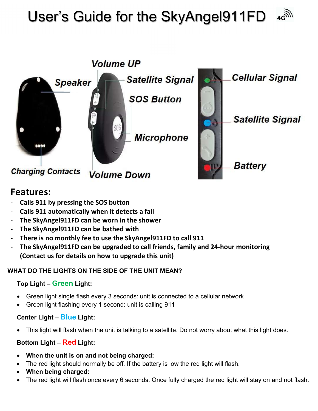# User's Guide for the SkyAngel911FD 4GM



# Features:

- Calls 911 by pressing the SOS button
- Calls 911 automatically when it detects a fall
- The SkyAngel911FD can be worn in the shower
- The SkyAngel911FD can be bathed with
- There is no monthly fee to use the SkyAngel911FD to call 911
- The SkyAngel911FD can be upgraded to call friends, family and 24-hour monitoring (Contact us for details on how to upgrade this unit)

# WHAT DO THE LIGHTS ON THE SIDE OF THE UNIT MEAN?

# Top Light – Green Light:

- Green light single flash every 3 seconds: unit is connected to a cellular network
- Green light flashing every 1 second: unit is calling 911

# Center Light – Blue Light:

This light will flash when the unit is talking to a satellite. Do not worry about what this light does.

# Bottom Light – Red Light:

- When the unit is on and not being charged:
- The red light should normally be off. If the battery is low the red light will flash.
- When being charged:
- The red light will flash once every 6 seconds. Once fully charged the red light will stay on and not flash.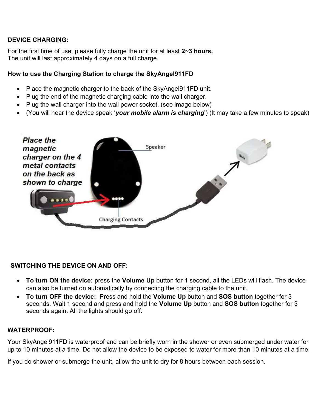#### DEVICE CHARGING:

For the first time of use, please fully charge the unit for at least 2~3 hours. The unit will last approximately 4 days on a full charge.

#### How to use the Charging Station to charge the SkyAngel911FD

- Place the magnetic charger to the back of the SkyAngel911FD unit.
- Plug the end of the magnetic charging cable into the wall charger.
- Plug the wall charger into the wall power socket. (see image below)
- (You will hear the device speak 'your mobile alarm is charging') (It may take a few minutes to speak)



#### SWITCHING THE DEVICE ON AND OFF:

- To turn ON the device: press the Volume Up button for 1 second, all the LEDs will flash. The device can also be turned on automatically by connecting the charging cable to the unit.
- To turn OFF the device: Press and hold the Volume Up button and SOS button together for 3 seconds. Wait 1 second and press and hold the Volume Up button and SOS button together for 3 seconds again. All the lights should go off.

#### WATERPROOF:

Your SkyAngel911FD is waterproof and can be briefly worn in the shower or even submerged under water for up to 10 minutes at a time. Do not allow the device to be exposed to water for more than 10 minutes at a time.

If you do shower or submerge the unit, allow the unit to dry for 8 hours between each session.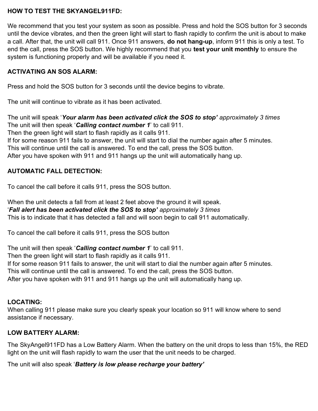#### HOW TO TEST THE SKYANGEL911FD:

We recommend that you test your system as soon as possible. Press and hold the SOS button for 3 seconds until the device vibrates, and then the green light will start to flash rapidly to confirm the unit is about to make a call. After that, the unit will call 911. Once 911 answers, **do not hang-up**, inform 911 this is only a test. To end the call, press the SOS button. We highly recommend that you test your unit monthly to ensure the system is functioning properly and will be available if you need it.

# ACTIVATING AN SOS ALARM:

Press and hold the SOS button for 3 seconds until the device begins to vibrate.

The unit will continue to vibrate as it has been activated.

The unit will speak 'Your alarm has been activated click the SOS to stop' approximately 3 times The unit will then speak 'Calling contact number 1' to call 911.

Then the green light will start to flash rapidly as it calls 911.

If for some reason 911 fails to answer, the unit will start to dial the number again after 5 minutes.

This will continue until the call is answered. To end the call, press the SOS button.

After you have spoken with 911 and 911 hangs up the unit will automatically hang up.

# AUTOMATIC FALL DETECTION:

To cancel the call before it calls 911, press the SOS button.

When the unit detects a fall from at least 2 feet above the ground it will speak. 'Fall alert has been activated click the SOS to stop' approximately 3 times This is to indicate that it has detected a fall and will soon begin to call 911 automatically.

To cancel the call before it calls 911, press the SOS button

The unit will then speak 'Calling contact number 1' to call 911.

Then the green light will start to flash rapidly as it calls 911.

If for some reason 911 fails to answer, the unit will start to dial the number again after 5 minutes.

This will continue until the call is answered. To end the call, press the SOS button.

After you have spoken with 911 and 911 hangs up the unit will automatically hang up.

# LOCATING:

When calling 911 please make sure you clearly speak your location so 911 will know where to send assistance if necessary.

# LOW BATTERY ALARM:

The SkyAngel911FD has a Low Battery Alarm. When the battery on the unit drops to less than 15%, the RED light on the unit will flash rapidly to warn the user that the unit needs to be charged.

The unit will also speak 'Battery is low please recharge your battery'